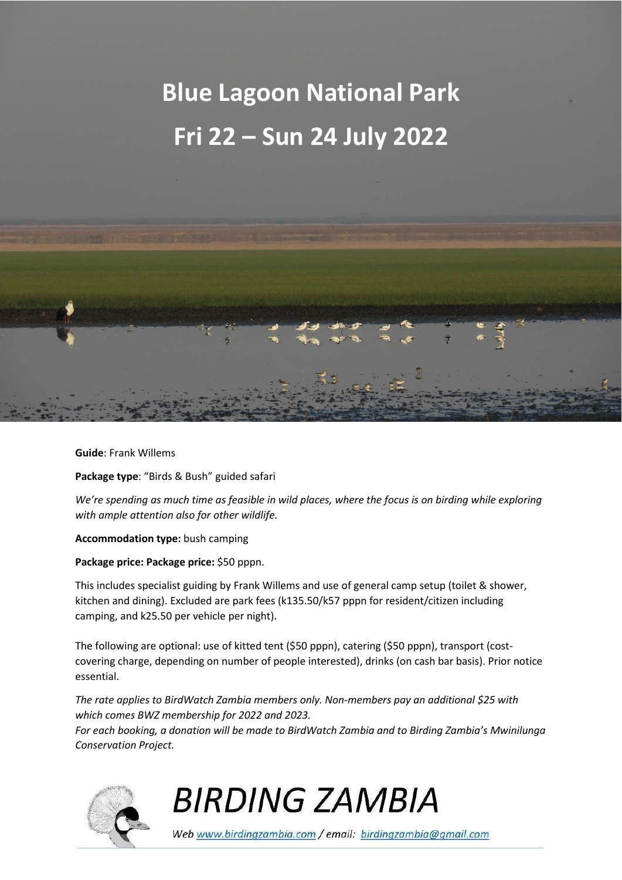# **Blue Lagoon National Park Fri 22 – Sun 24 July 2022**



**Guide**: Frank Willems

**Package type**: "Birds & Bush" guided safari

*We're spending as much time as feasible in wild places, where the focus is on birding while exploring with ample attention also for other wildlife.* 

**Accommodation type:** bush camping

**Package price: Package price:** \$50 pppn.

This includes specialist guiding by Frank Willems and use of general camp setup (toilet & shower, kitchen and dining). Excluded are park fees (k135.50/k57 pppn for resident/citizen including camping, and k25.50 per vehicle per night).

The following are optional: use of kitted tent (\$50 pppn), catering (\$50 pppn), transport (costcovering charge, depending on number of people interested), drinks (on cash bar basis). Prior notice essential.

*The rate applies to BirdWatch Zambia members only. Non-members pay an additional \$25 with which comes BWZ membership for 2022 and 2023.* 

*For each booking, a donation will be made to BirdWatch Zambia and to Birding Zambia's Mwinilunga Conservation Project.* 



## **BIRDING ZAMBIA**

Web www.birdingzambia.com / email: birdingzambia@gmail.com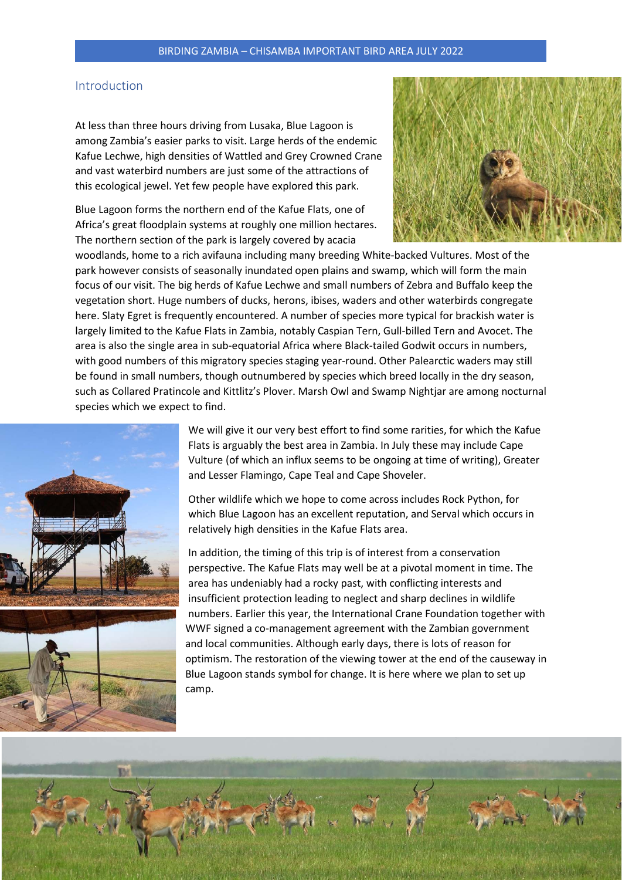### Introduction

At less than three hours driving from Lusaka, Blue Lagoon is among Zambia's easier parks to visit. Large herds of the endemic Kafue Lechwe, high densities of Wattled and Grey Crowned Crane and vast waterbird numbers are just some of the attractions of this ecological jewel. Yet few people have explored this park.

Blue Lagoon forms the northern end of the Kafue Flats, one of Africa's great floodplain systems at roughly one million hectares. The northern section of the park is largely covered by acacia



woodlands, home to a rich avifauna including many breeding White-backed Vultures. Most of the park however consists of seasonally inundated open plains and swamp, which will form the main focus of our visit. The big herds of Kafue Lechwe and small numbers of Zebra and Buffalo keep the vegetation short. Huge numbers of ducks, herons, ibises, waders and other waterbirds congregate here. Slaty Egret is frequently encountered. A number of species more typical for brackish water is largely limited to the Kafue Flats in Zambia, notably Caspian Tern, Gull-billed Tern and Avocet. The area is also the single area in sub-equatorial Africa where Black-tailed Godwit occurs in numbers, with good numbers of this migratory species staging year-round. Other Palearctic waders may still be found in small numbers, though outnumbered by species which breed locally in the dry season, such as Collared Pratincole and Kittlitz's Plover. Marsh Owl and Swamp Nightjar are among nocturnal species which we expect to find.





We will give it our very best effort to find some rarities, for which the Kafue Flats is arguably the best area in Zambia. In July these may include Cape Vulture (of which an influx seems to be ongoing at time of writing), Greater and Lesser Flamingo, Cape Teal and Cape Shoveler.

Other wildlife which we hope to come across includes Rock Python, for which Blue Lagoon has an excellent reputation, and Serval which occurs in relatively high densities in the Kafue Flats area.

In addition, the timing of this trip is of interest from a conservation perspective. The Kafue Flats may well be at a pivotal moment in time. The area has undeniably had a rocky past, with conflicting interests and insufficient protection leading to neglect and sharp declines in wildlife numbers. Earlier this year, the International Crane Foundation together with WWF signed a co-management agreement with the Zambian government and local communities. Although early days, there is lots of reason for optimism. The restoration of the viewing tower at the end of the causeway in Blue Lagoon stands symbol for change. It is here where we plan to set up camp.